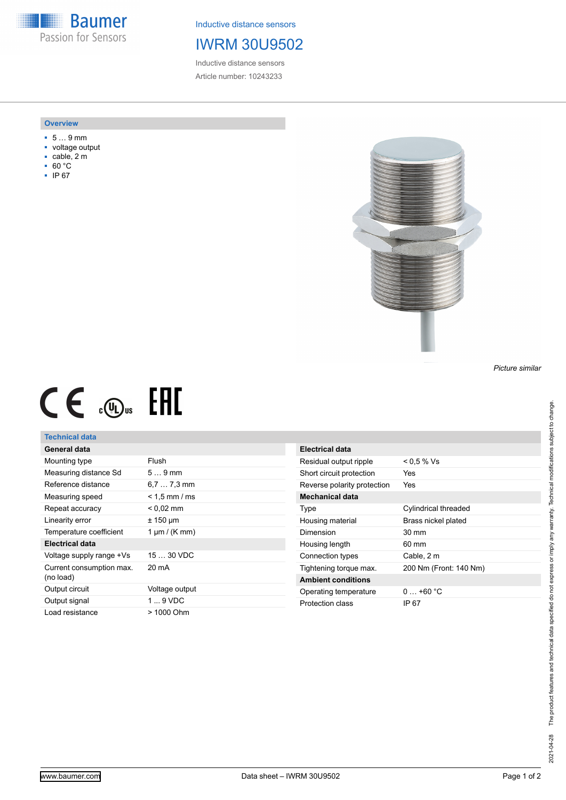**Baumer** Passion for Sensors

Inductive distance sensors

## IWRM 30U9502

Inductive distance sensors Article number: 10243233

#### **Overview**

- 5 … 9 mm
- voltage output
- cable, 2 m
- 60 °C
- IP 67



*Picture similar*

# $CE \mathcal{L}$  .  $\mathbb{G}$ .

#### **Technical data**

### **General data**

| Mounting type                         | Flush               |
|---------------------------------------|---------------------|
| Measuring distance Sd                 | $59$ mm             |
| Reference distance                    | $6.77.3 \text{ mm}$ |
| Measuring speed                       | $<$ 1.5 mm / ms     |
| Repeat accuracy                       | $< 0.02$ mm         |
| Linearity error                       | $± 150 \mu m$       |
| Temperature coefficient               | 1 $\mu$ m / (K mm)  |
| <b>Electrical data</b>                |                     |
| Voltage supply range +Vs              | 15  30 VDC          |
| Current consumption max.<br>(no load) | 20 mA               |
| Output circuit                        | Voltage output      |
| Output signal                         | $1 \dots 9$ VDC     |
|                                       |                     |

| Electrical data             |                        |
|-----------------------------|------------------------|
| Residual output ripple      | $< 0.5 %$ Vs           |
| Short circuit protection    | Yes                    |
| Reverse polarity protection | Yes                    |
| Mechanical data             |                        |
| Type                        | Cylindrical threaded   |
| Housing material            | Brass nickel plated    |
| Dimension                   | $30 \text{ mm}$        |
| Housing length              | 60 mm                  |
| Connection types            | Cable, 2 m             |
| Tightening torque max.      | 200 Nm (Front: 140 Nm) |
| <b>Ambient conditions</b>   |                        |
| Operating temperature       | $0+60 °C$              |
| Protection class            | IP 67                  |